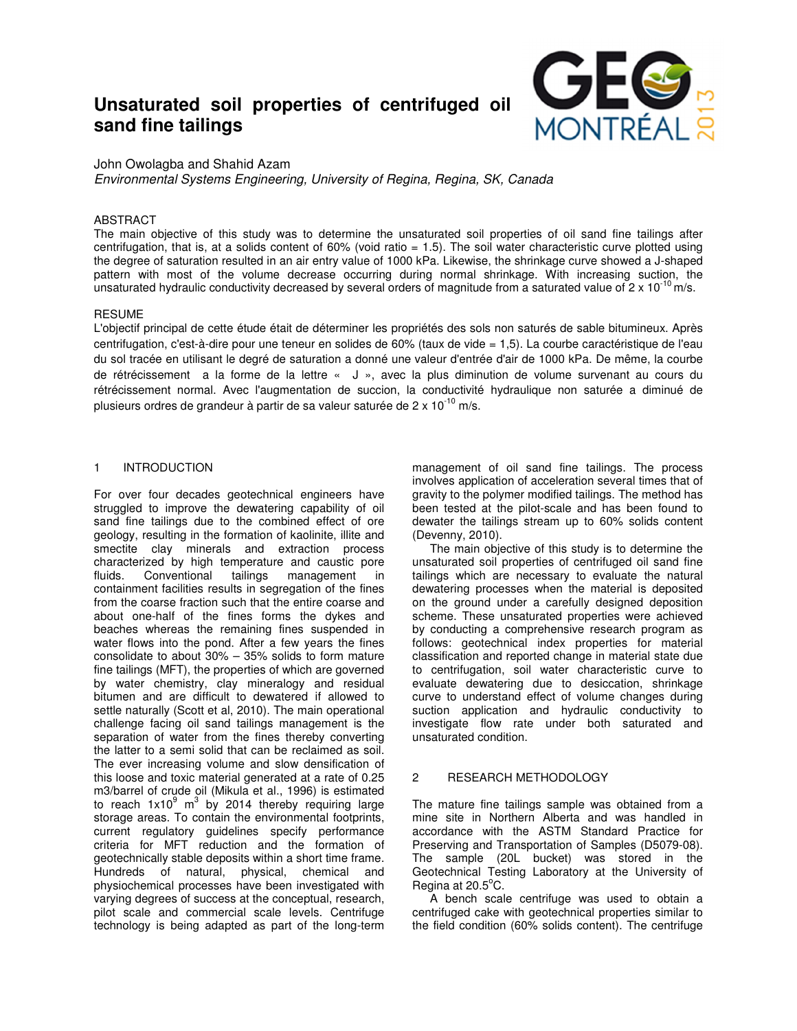# **Unsaturated soil properties of centrifuged oil sand fine tailings**



John Owolagba and Shahid Azam

*Environmental Systems Engineering, University of Regina, Regina, SK, Canada*

# ABSTRACT

The main objective of this study was to determine the unsaturated soil properties of oil sand fine tailings after centrifugation, that is, at a solids content of 60% (void ratio = 1.5). The soil water characteristic curve plotted using the degree of saturation resulted in an air entry value of 1000 kPa. Likewise, the shrinkage curve showed a J-shaped pattern with most of the volume decrease occurring during normal shrinkage. With increasing suction, the unsaturated hydraulic conductivity decreased by several orders of magnitude from a saturated value of  $2 \times 10^{-10}$  m/s.

# RESUME

L'objectif principal de cette étude était de déterminer les propriétés des sols non saturés de sable bitumineux. Après centrifugation, c'est-à-dire pour une teneur en solides de 60% (taux de vide = 1,5). La courbe caractéristique de l'eau du sol tracée en utilisant le degré de saturation a donné une valeur d'entrée d'air de 1000 kPa. De même, la courbe de rétrécissement a la forme de la lettre « J », avec la plus diminution de volume survenant au cours du rétrécissement normal. Avec l'augmentation de succion, la conductivité hydraulique non saturée a diminué de plusieurs ordres de grandeur à partir de sa valeur saturée de  $2 \times 10^{-10}$  m/s.

# 1 INTRODUCTION

For over four decades geotechnical engineers have struggled to improve the dewatering capability of oil sand fine tailings due to the combined effect of ore geology, resulting in the formation of kaolinite, illite and smectite clay minerals and extraction process characterized by high temperature and caustic pore fluids. Conventional tailings management in containment facilities results in segregation of the fines from the coarse fraction such that the entire coarse and about one-half of the fines forms the dykes and beaches whereas the remaining fines suspended in water flows into the pond. After a few years the fines consolidate to about 30% – 35% solids to form mature fine tailings (MFT), the properties of which are governed by water chemistry, clay mineralogy and residual bitumen and are difficult to dewatered if allowed to settle naturally (Scott et al, 2010). The main operational challenge facing oil sand tailings management is the separation of water from the fines thereby converting the latter to a semi solid that can be reclaimed as soil. The ever increasing volume and slow densification of this loose and toxic material generated at a rate of 0.25 m3/barrel of crude oil (Mikula et al., 1996) is estimated to reach  $1x10^9$  m<sup>3</sup> by 2014 thereby requiring large storage areas. To contain the environmental footprints, current regulatory guidelines specify performance criteria for MFT reduction and the formation of geotechnically stable deposits within a short time frame. Hundreds of natural, physical, chemical and physiochemical processes have been investigated with varying degrees of success at the conceptual, research, pilot scale and commercial scale levels. Centrifuge technology is being adapted as part of the long-term

management of oil sand fine tailings. The process involves application of acceleration several times that of gravity to the polymer modified tailings. The method has been tested at the pilot-scale and has been found to dewater the tailings stream up to 60% solids content (Devenny, 2010).

The main objective of this study is to determine the unsaturated soil properties of centrifuged oil sand fine tailings which are necessary to evaluate the natural dewatering processes when the material is deposited on the ground under a carefully designed deposition scheme. These unsaturated properties were achieved by conducting a comprehensive research program as follows: geotechnical index properties for material classification and reported change in material state due to centrifugation, soil water characteristic curve to evaluate dewatering due to desiccation, shrinkage curve to understand effect of volume changes during suction application and hydraulic conductivity to investigate flow rate under both saturated and unsaturated condition.

# 2 RESEARCH METHODOLOGY

The mature fine tailings sample was obtained from a mine site in Northern Alberta and was handled in accordance with the ASTM Standard Practice for Preserving and Transportation of Samples (D5079-08). The sample (20L bucket) was stored in the Geotechnical Testing Laboratory at the University of Regina at  $20.5^{\circ}$ C.

A bench scale centrifuge was used to obtain a centrifuged cake with geotechnical properties similar to the field condition (60% solids content). The centrifuge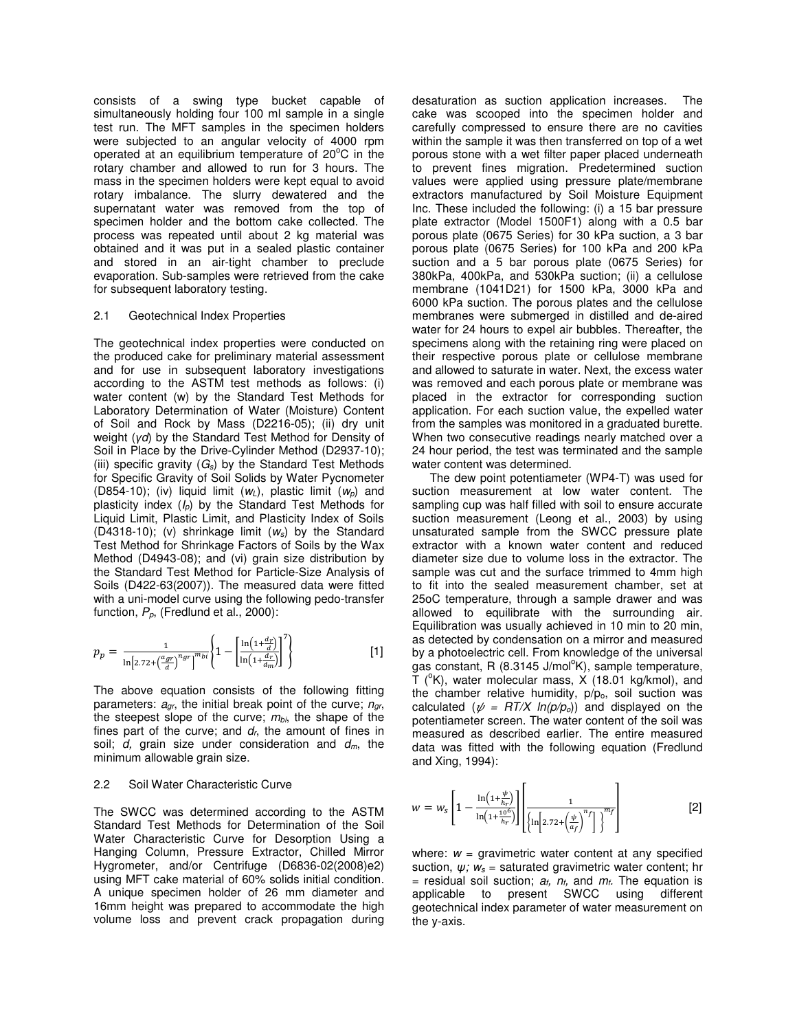consists of a swing type bucket capable of simultaneously holding four 100 ml sample in a single test run. The MFT samples in the specimen holders were subjected to an angular velocity of 4000 rpm operated at an equilibrium temperature of  $20^{\circ}$ C in the rotary chamber and allowed to run for 3 hours. The mass in the specimen holders were kept equal to avoid rotary imbalance. The slurry dewatered and the supernatant water was removed from the top of specimen holder and the bottom cake collected. The process was repeated until about 2 kg material was obtained and it was put in a sealed plastic container and stored in an air-tight chamber to preclude evaporation. Sub-samples were retrieved from the cake for subsequent laboratory testing.

## 2.1 Geotechnical Index Properties

The geotechnical index properties were conducted on the produced cake for preliminary material assessment and for use in subsequent laboratory investigations according to the ASTM test methods as follows: (i) water content (w) by the Standard Test Methods for Laboratory Determination of Water (Moisture) Content of Soil and Rock by Mass (D2216-05); (ii) dry unit weight (*γd*) by the Standard Test Method for Density of Soil in Place by the Drive-Cylinder Method (D2937-10); (iii) specific gravity (*Gs*) by the Standard Test Methods for Specific Gravity of Soil Solids by Water Pycnometer (D854-10); (iv) liquid limit (*wL*), plastic limit (*wp*) and plasticity index (*Ip*) by the Standard Test Methods for Liquid Limit, Plastic Limit, and Plasticity Index of Soils (D4318-10); (v) shrinkage limit (*ws*) by the Standard Test Method for Shrinkage Factors of Soils by the Wax Method (D4943-08); and (vi) grain size distribution by the Standard Test Method for Particle-Size Analysis of Soils (D422-63(2007)). The measured data were fitted with a uni-model curve using the following pedo-transfer function,  $P_p$ , (Fredlund et al., 2000):

$$
p_p = \frac{1}{\ln\left[2.72 + \left(\frac{a_{gr}}{d}\right)^{n_{gr}}\right]^{m_{bi}}}\left\{1 - \left[\frac{\ln\left(1 + \frac{d_r}{d}\right)}{\ln\left(1 + \frac{d_r}{d_m}\right)}\right]^2\right\}
$$
[1]

The above equation consists of the following fitting parameters: *agr*, the initial break point of the curve; *ngr*, the steepest slope of the curve; *mbi*, the shape of the fines part of the curve; and *dr*, the amount of fines in soil; *d,* grain size under consideration and *dm*, the minimum allowable grain size.

# 2.2 Soil Water Characteristic Curve

The SWCC was determined according to the ASTM Standard Test Methods for Determination of the Soil Water Characteristic Curve for Desorption Using a Hanging Column, Pressure Extractor, Chilled Mirror Hygrometer, and/or Centrifuge (D6836-02(2008)e2) using MFT cake material of 60% solids initial condition. A unique specimen holder of 26 mm diameter and 16mm height was prepared to accommodate the high volume loss and prevent crack propagation during desaturation as suction application increases. The cake was scooped into the specimen holder and carefully compressed to ensure there are no cavities within the sample it was then transferred on top of a wet porous stone with a wet filter paper placed underneath to prevent fines migration. Predetermined suction values were applied using pressure plate/membrane extractors manufactured by Soil Moisture Equipment Inc. These included the following: (i) a 15 bar pressure plate extractor (Model 1500F1) along with a 0.5 bar porous plate (0675 Series) for 30 kPa suction, a 3 bar porous plate (0675 Series) for 100 kPa and 200 kPa suction and a 5 bar porous plate (0675 Series) for 380kPa, 400kPa, and 530kPa suction; (ii) a cellulose membrane (1041D21) for 1500 kPa, 3000 kPa and 6000 kPa suction. The porous plates and the cellulose membranes were submerged in distilled and de-aired water for 24 hours to expel air bubbles. Thereafter, the specimens along with the retaining ring were placed on their respective porous plate or cellulose membrane and allowed to saturate in water. Next, the excess water was removed and each porous plate or membrane was placed in the extractor for corresponding suction application. For each suction value, the expelled water from the samples was monitored in a graduated burette. When two consecutive readings nearly matched over a 24 hour period, the test was terminated and the sample water content was determined.

The dew point potentiameter (WP4-T) was used for suction measurement at low water content. The sampling cup was half filled with soil to ensure accurate suction measurement (Leong et al., 2003) by using unsaturated sample from the SWCC pressure plate extractor with a known water content and reduced diameter size due to volume loss in the extractor. The sample was cut and the surface trimmed to 4mm high to fit into the sealed measurement chamber, set at 25oC temperature, through a sample drawer and was allowed to equilibrate with the surrounding air. Equilibration was usually achieved in 10 min to 20 min, as detected by condensation on a mirror and measured by a photoelectric cell. From knowledge of the universal gas constant, R (8.3145 J/mol<sup>o</sup>K), sample temperature,  $\tilde{T}$  ( $\rm{e}$ K), water molecular mass, X (18.01 kg/kmol), and the chamber relative humidity,  $p/p<sub>o</sub>$ , soil suction was calculated ( $\psi = RT/X \ln(p/p_o)$ ) and displayed on the potentiameter screen. The water content of the soil was measured as described earlier. The entire measured data was fitted with the following equation (Fredlund and Xing, 1994):

$$
w = w_s \left[ 1 - \frac{\ln\left(1 + \frac{\psi}{h_r}\right)}{\ln\left(1 + \frac{10^6}{h_r}\right)} \right] \left[ \frac{1}{\left\{ \ln\left[2.72 + \left(\frac{\psi}{a_f}\right)^{n_f}\right] \right\}^{m_f}} \right]
$$
 [2]

where:  $w =$  gravimetric water content at any specified suction, *ψ; ws* = saturated gravimetric water content; hr  $=$  residual soil suction;  $a_f$ ,  $n_f$ , and  $m_f$ . The equation is applicable to present SWCC using different geotechnical index parameter of water measurement on the y-axis.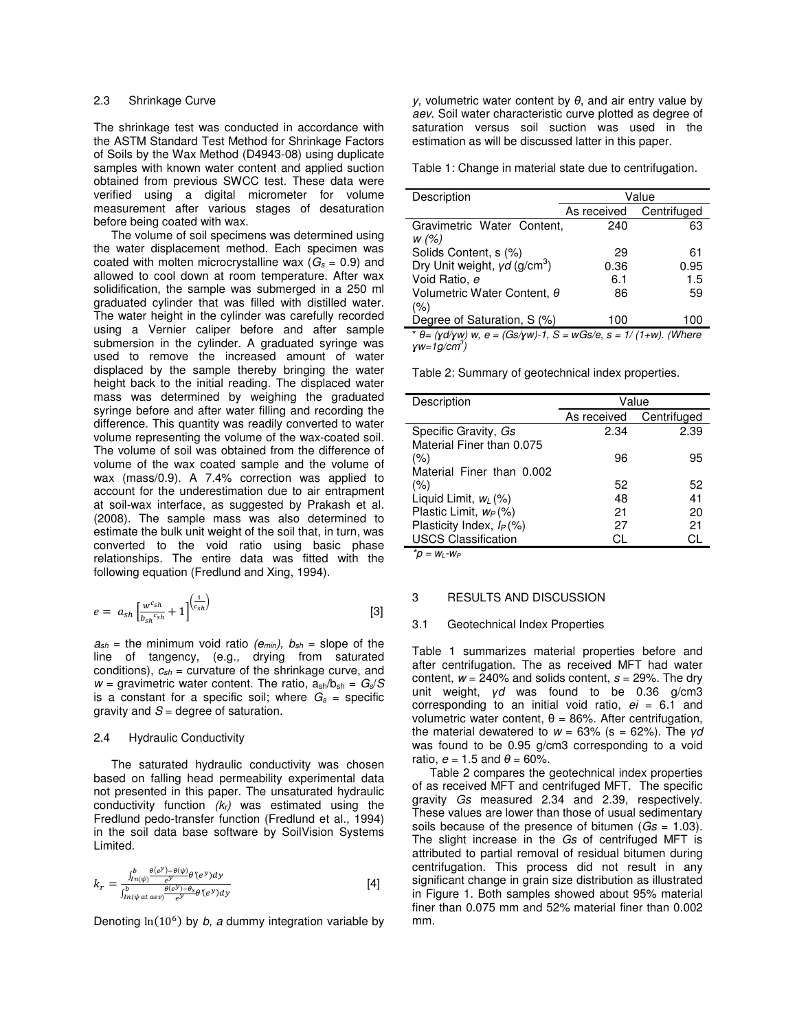The shrinkage test was conducted in accordance with the ASTM Standard Test Method for Shrinkage Factors of Soils by the Wax Method (D4943-08) using duplicate samples with known water content and applied suction obtained from previous SWCC test. These data were verified using a digital micrometer for volume measurement after various stages of desaturation before being coated with wax.

The volume of soil specimens was determined using the water displacement method. Each specimen was coated with molten microcrystalline wax ( $G_s = 0.9$ ) and allowed to cool down at room temperature. After wax solidification, the sample was submerged in a 250 ml graduated cylinder that was filled with distilled water. The water height in the cylinder was carefully recorded using a Vernier caliper before and after sample submersion in the cylinder. A graduated syringe was used to remove the increased amount of water displaced by the sample thereby bringing the water height back to the initial reading. The displaced water mass was determined by weighing the graduated syringe before and after water filling and recording the difference. This quantity was readily converted to water volume representing the volume of the wax-coated soil. The volume of soil was obtained from the difference of volume of the wax coated sample and the volume of wax (mass/0.9). A 7.4% correction was applied to account for the underestimation due to air entrapment at soil-wax interface, as suggested by Prakash et al. (2008). The sample mass was also determined to estimate the bulk unit weight of the soil that, in turn, was converted to the void ratio using basic phase relationships. The entire data was fitted with the following equation (Fredlund and Xing, 1994).

$$
e = a_{sh} \left[ \frac{w^{c_{sh}}}{b_{sh}^{c_{sh}}} + 1 \right]^{\left( \frac{1}{c_{sh}} \right)} \tag{3}
$$

 $a_{sh}$  = the minimum void ratio *(e<sub>min</sub>), b<sub>sh</sub>* = slope of the line of tangency, (e.g., drying from saturated conditions), *csh* = curvature of the shrinkage curve, and  $w =$  gravimetric water content. The ratio,  $a_{\rm sh}/b_{\rm sh} = G_s/S$ is a constant for a specific soil; where  $G_s$  = specific gravity and *S* = degree of saturation.

### 2.4 Hydraulic Conductivity

The saturated hydraulic conductivity was chosen based on falling head permeability experimental data not presented in this paper. The unsaturated hydraulic conductivity function *(kr)* was estimated using the Fredlund pedo-transfer function (Fredlund et al., 1994) in the soil data base software by SoilVision Systems Limited.

$$
k_r = \frac{\int_{h_{\text{r}}(\psi)}^{b} \frac{\theta(e^y) - \theta(\psi)}{e^y} \theta'(e^y) dy}{\int_{h_{\text{r}}(\psi \text{ at } e \text{ e}y)}^{b} \frac{\theta(e^y) - \theta_s}{e^y} \theta'(e^y) dy}
$$
 [4]

Denoting  $ln(10^6)$  by *b, a* dummy integration variable by

*y,* volumetric water content by *θ*, and air entry value by *aev*. Soil water characteristic curve plotted as degree of saturation versus soil suction was used in the estimation as will be discussed latter in this paper.

Table 1: Change in material state due to centrifugation.

| Description                                                                                                   | Value       |             |
|---------------------------------------------------------------------------------------------------------------|-------------|-------------|
|                                                                                                               | As received | Centrifuged |
| Gravimetric Water Content,<br>w (%)                                                                           | 240         | 63          |
| Solids Content, s (%)                                                                                         | 29          | 61          |
| Dry Unit weight, $yd$ (g/cm <sup>3</sup> )                                                                    | 0.36        | 0.95        |
| Void Ratio, e                                                                                                 | 6.1         | 1.5         |
| Volumetric Water Content, θ                                                                                   | 86          | 59          |
| (%)                                                                                                           |             |             |
| Degree of Saturation, S (%)                                                                                   | 100         | 100         |
| * $\theta = (\gamma d / \gamma w) w$ , $e = (Gs / \gamma w) - 1$ , $S = wGs / e$ , $s = 1 / (1 + w)$ . (Where |             |             |

*ɣw=1g/cm<sup>3</sup> )* 

Table 2: Summary of geotechnical index properties.

| Description                 | Value       |             |
|-----------------------------|-------------|-------------|
|                             | As received | Centrifuged |
| Specific Gravity, Gs        | 2.34        | 2.39        |
| Material Finer than 0.075   |             |             |
| (%)                         | 96          | 95          |
| Material Finer than 0.002   |             |             |
| (%)                         | 52          | 52          |
| Liquid Limit, $w_L$ (%)     | 48          | 41          |
| Plastic Limit, $w_P(\%)$    | 21          | 20          |
| Plasticity Index, $I_P(\%)$ | 27          | 21          |
| <b>USCS Classification</b>  | CI.         | CI.         |

*\*p = wL-w<sup>P</sup>*

# 3 RESULTS AND DISCUSSION

#### 3.1 Geotechnical Index Properties

Table 1 summarizes material properties before and after centrifugation. The as received MFT had water content, *w* = 240% and solids content, *s* = 29%. The dry unit weight, *γd* was found to be 0.36 g/cm3 corresponding to an initial void ratio, *ei* = 6.1 and volumetric water content, θ = 86%. After centrifugation, the material dewatered to *w* = 63% (s = 62%). The *γd*  was found to be 0.95 g/cm3 corresponding to a void ratio,  $e = 1.5$  and  $\theta = 60\%$ .

Table 2 compares the geotechnical index properties of as received MFT and centrifuged MFT. The specific gravity *Gs* measured 2.34 and 2.39, respectively. These values are lower than those of usual sedimentary soils because of the presence of bitumen (*Gs* = 1.03). The slight increase in the *Gs* of centrifuged MFT is attributed to partial removal of residual bitumen during centrifugation. This process did not result in any significant change in grain size distribution as illustrated in Figure 1. Both samples showed about 95% material finer than 0.075 mm and 52% material finer than 0.002 mm.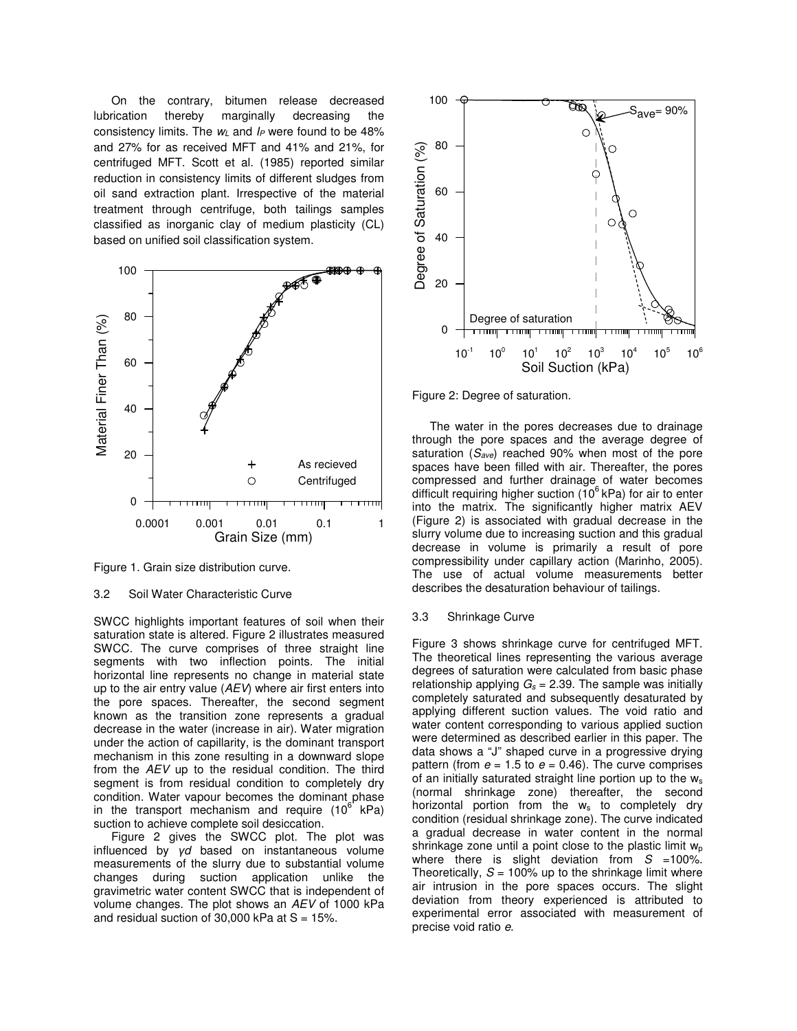On the contrary, bitumen release decreased lubrication thereby marginally decreasing the consistency limits. The  $w_L$  and  $I_P$  were found to be 48% and 27% for as received MFT and 41% and 21%, for centrifuged MFT. Scott et al. (1985) reported similar reduction in consistency limits of different sludges from oil sand extraction plant. Irrespective of the material treatment through centrifuge, both tailings samples classified as inorganic clay of medium plasticity (CL) based on unified soil classification system.



Figure 1. Grain size distribution curve.

# 3.2 Soil Water Characteristic Curve

SWCC highlights important features of soil when their saturation state is altered. Figure 2 illustrates measured SWCC. The curve comprises of three straight line segments with two inflection points. The initial horizontal line represents no change in material state up to the air entry value (*AEV*) where air first enters into the pore spaces. Thereafter, the second segment known as the transition zone represents a gradual decrease in the water (increase in air). Water migration under the action of capillarity, is the dominant transport mechanism in this zone resulting in a downward slope from the *AEV* up to the residual condition. The third segment is from residual condition to completely dry condition. Water vapour becomes the dominant phase in the transport mechanism and require  $(10^6 \text{ kPa})$ suction to achieve complete soil desiccation.

Figure 2 gives the SWCC plot. The plot was influenced by *γd* based on instantaneous volume measurements of the slurry due to substantial volume changes during suction application unlike the gravimetric water content SWCC that is independent of volume changes. The plot shows an *AEV* of 1000 kPa and residual suction of 30,000 kPa at  $S = 15\%$ .



Figure 2: Degree of saturation.

The water in the pores decreases due to drainage through the pore spaces and the average degree of saturation (*Save*) reached 90% when most of the pore spaces have been filled with air. Thereafter, the pores compressed and further drainage of water becomes difficult requiring higher suction  $(10^6 \text{ kPa})$  for air to enter into the matrix. The significantly higher matrix AEV (Figure 2) is associated with gradual decrease in the slurry volume due to increasing suction and this gradual decrease in volume is primarily a result of pore compressibility under capillary action (Marinho, 2005). The use of actual volume measurements better describes the desaturation behaviour of tailings.

# 3.3 Shrinkage Curve

Figure 3 shows shrinkage curve for centrifuged MFT. The theoretical lines representing the various average degrees of saturation were calculated from basic phase relationship applying  $G_s = 2.39$ . The sample was initially completely saturated and subsequently desaturated by applying different suction values. The void ratio and water content corresponding to various applied suction were determined as described earlier in this paper. The data shows a "J" shaped curve in a progressive drying pattern (from  $e = 1.5$  to  $e = 0.46$ ). The curve comprises of an initially saturated straight line portion up to the w<sup>s</sup> (normal shrinkage zone) thereafter, the second horizontal portion from the ws to completely dry condition (residual shrinkage zone). The curve indicated a gradual decrease in water content in the normal shrinkage zone until a point close to the plastic limit  $w<sub>o</sub>$ where there is slight deviation from  $S = 100\%$ . Theoretically,  $S = 100\%$  up to the shrinkage limit where air intrusion in the pore spaces occurs. The slight deviation from theory experienced is attributed to experimental error associated with measurement of precise void ratio *e*.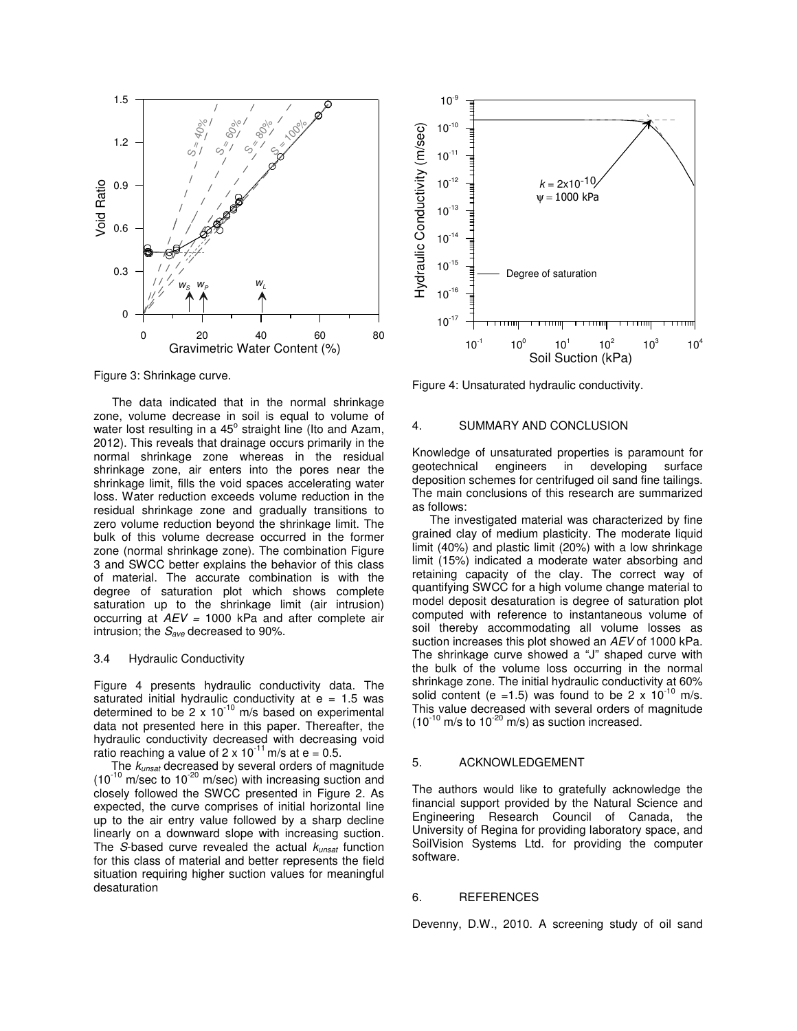

Figure 3: Shrinkage curve.

The data indicated that in the normal shrinkage zone, volume decrease in soil is equal to volume of water lost resulting in a 45° straight line (Ito and Azam, 2012). This reveals that drainage occurs primarily in the normal shrinkage zone whereas in the residual shrinkage zone, air enters into the pores near the shrinkage limit, fills the void spaces accelerating water loss. Water reduction exceeds volume reduction in the residual shrinkage zone and gradually transitions to zero volume reduction beyond the shrinkage limit. The bulk of this volume decrease occurred in the former zone (normal shrinkage zone). The combination Figure 3 and SWCC better explains the behavior of this class of material. The accurate combination is with the degree of saturation plot which shows complete saturation up to the shrinkage limit (air intrusion) occurring at *AEV =* 1000 kPa and after complete air intrusion; the *Save* decreased to 90%.

## 3.4 Hydraulic Conductivity

Figure 4 presents hydraulic conductivity data. The saturated initial hydraulic conductivity at e = 1.5 was determined to be  $2 \times 10^{-10}$  m/s based on experimental data not presented here in this paper. Thereafter, the hydraulic conductivity decreased with decreasing void ratio reaching a value of  $2 \times 10^{-11}$  m/s at e = 0.5.

The *kunsat* decreased by several orders of magnitude  $(10^{-10} \text{ m/sec}$  to  $10^{-20} \text{ m/sec}$ ) with increasing suction and closely followed the SWCC presented in Figure 2. As expected, the curve comprises of initial horizontal line up to the air entry value followed by a sharp decline linearly on a downward slope with increasing suction. The *S*-based curve revealed the actual *kunsat* function for this class of material and better represents the field situation requiring higher suction values for meaningful desaturation



Figure 4: Unsaturated hydraulic conductivity.

#### 4. SUMMARY AND CONCLUSION

Knowledge of unsaturated properties is paramount for geotechnical engineers in developing surface deposition schemes for centrifuged oil sand fine tailings. The main conclusions of this research are summarized as follows:

The investigated material was characterized by fine grained clay of medium plasticity. The moderate liquid limit (40%) and plastic limit (20%) with a low shrinkage limit (15%) indicated a moderate water absorbing and retaining capacity of the clay. The correct way of quantifying SWCC for a high volume change material to model deposit desaturation is degree of saturation plot computed with reference to instantaneous volume of soil thereby accommodating all volume losses as suction increases this plot showed an *AEV* of 1000 kPa. The shrinkage curve showed a "J" shaped curve with the bulk of the volume loss occurring in the normal shrinkage zone. The initial hydraulic conductivity at 60% solid content (e = 1.5) was found to be 2 x  $10^{-10}$  m/s. This value decreased with several orders of magnitude  $(10^{-10} \text{ m/s to } 10^{-20} \text{ m/s})$  as suction increased.

#### 5. ACKNOWLEDGEMENT

The authors would like to gratefully acknowledge the financial support provided by the Natural Science and Engineering Research Council of Canada, the University of Regina for providing laboratory space, and SoilVision Systems Ltd. for providing the computer software.

### 6. REFERENCES

Devenny, D.W., 2010. A screening study of oil sand